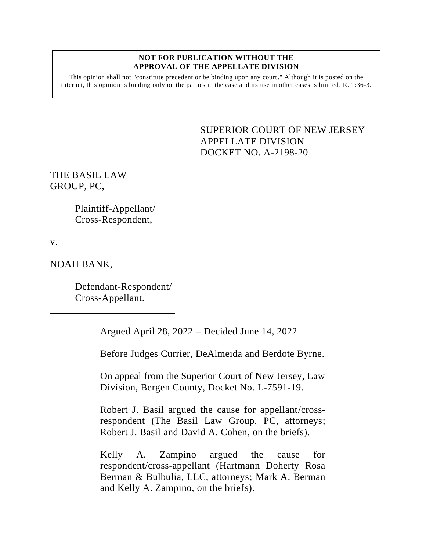## **NOT FOR PUBLICATION WITHOUT THE APPROVAL OF THE APPELLATE DIVISION**

This opinion shall not "constitute precedent or be binding upon any court." Although it is posted on the internet, this opinion is binding only on the parties in the case and its use in other cases is limited.  $R_1$  1:36-3.

> <span id="page-0-0"></span>SUPERIOR COURT OF NEW JERSEY APPELLATE DIVISION DOCKET NO. A-2198-20

THE BASIL LAW GROUP, PC,

> Plaintiff-Appellant/ Cross-Respondent,

v.

NOAH BANK,

Defendant-Respondent/ Cross-Appellant.

Argued April 28, 2022 – Decided June 14, 2022

Before Judges Currier, DeAlmeida and Berdote Byrne.

On appeal from the Superior Court of New Jersey, Law Division, Bergen County, Docket No. L-7591-19.

Robert J. Basil argued the cause for appellant/crossrespondent (The Basil Law Group, PC, attorneys; Robert J. Basil and David A. Cohen, on the briefs).

Kelly A. Zampino argued the cause for respondent/cross-appellant (Hartmann Doherty Rosa Berman & Bulbulia, LLC, attorneys; Mark A. Berman and Kelly A. Zampino, on the briefs).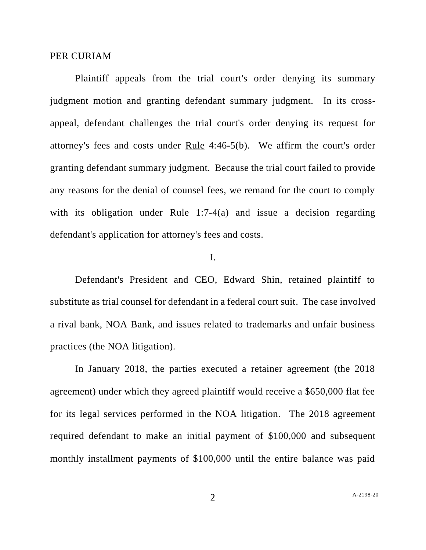## PER CURIAM

Plaintiff appeals from the trial court's order denying its summary judgment motion and granting defendant summary judgment. In its crossappeal, defendant challenges the trial court's order denying its request for attorney's fees and costs under Rule 4:46-5(b). We affirm the court's order granting defendant summary judgment. Because the trial court failed to provide any reasons for the denial of counsel fees, we remand for the court to comply with its obligation under Rule 1:7-4(a) and issue a decision regarding defendant's application for attorney's fees and costs.

## I.

Defendant's President and CEO, Edward Shin, retained plaintiff to substitute as trial counsel for defendant in a federal court suit. The case involved a rival bank, NOA Bank, and issues related to trademarks and unfair business practices (the NOA litigation).

In January 2018, the parties executed a retainer agreement (the 2018 agreement) under which they agreed plaintiff would receive a \$650,000 flat fee for its legal services performed in the NOA litigation. The 2018 agreement required defendant to make an initial payment of \$100,000 and subsequent monthly installment payments of \$100,000 until the entire balance was paid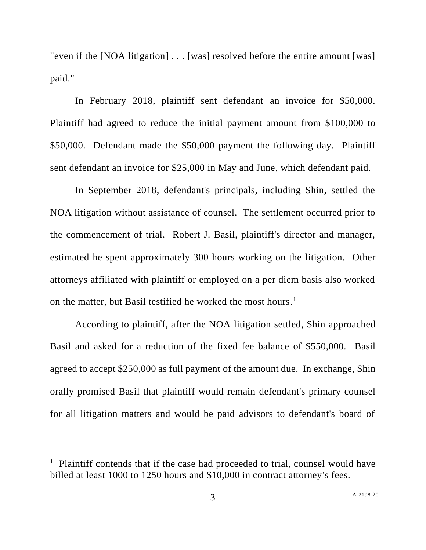"even if the [NOA litigation] . . . [was] resolved before the entire amount [was] paid."

In February 2018, plaintiff sent defendant an invoice for \$50,000. Plaintiff had agreed to reduce the initial payment amount from \$100,000 to \$50,000. Defendant made the \$50,000 payment the following day. Plaintiff sent defendant an invoice for \$25,000 in May and June, which defendant paid.

In September 2018, defendant's principals, including Shin, settled the NOA litigation without assistance of counsel. The settlement occurred prior to the commencement of trial. Robert J. Basil, plaintiff's director and manager, estimated he spent approximately 300 hours working on the litigation. Other attorneys affiliated with plaintiff or employed on a per diem basis also worked on the matter, but Basil testified he worked the most hours. 1

According to plaintiff, after the NOA litigation settled, Shin approached Basil and asked for a reduction of the fixed fee balance of \$550,000. Basil agreed to accept \$250,000 as full payment of the amount due. In exchange, Shin orally promised Basil that plaintiff would remain defendant's primary counsel for all litigation matters and would be paid advisors to defendant's board of

<sup>&</sup>lt;sup>1</sup> Plaintiff contends that if the case had proceeded to trial, counsel would have billed at least 1000 to 1250 hours and \$10,000 in contract attorney's fees.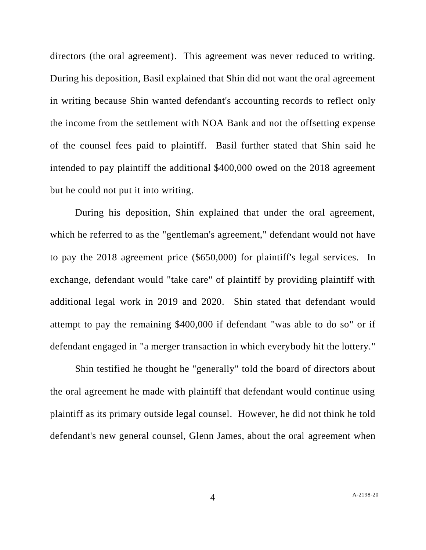directors (the oral agreement). This agreement was never reduced to writing. During his deposition, Basil explained that Shin did not want the oral agreement in writing because Shin wanted defendant's accounting records to reflect only the income from the settlement with NOA Bank and not the offsetting expense of the counsel fees paid to plaintiff. Basil further stated that Shin said he intended to pay plaintiff the additional \$400,000 owed on the 2018 agreement but he could not put it into writing.

During his deposition, Shin explained that under the oral agreement, which he referred to as the "gentleman's agreement," defendant would not have to pay the 2018 agreement price (\$650,000) for plaintiff's legal services. In exchange, defendant would "take care" of plaintiff by providing plaintiff with additional legal work in 2019 and 2020. Shin stated that defendant would attempt to pay the remaining \$400,000 if defendant "was able to do so" or if defendant engaged in "a merger transaction in which everybody hit the lottery."

Shin testified he thought he "generally" told the board of directors about the oral agreement he made with plaintiff that defendant would continue using plaintiff as its primary outside legal counsel. However, he did not think he told defendant's new general counsel, Glenn James, about the oral agreement when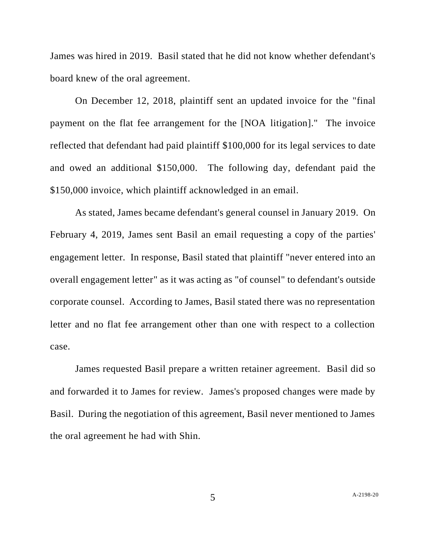James was hired in 2019. Basil stated that he did not know whether defendant's board knew of the oral agreement.

On December 12, 2018, plaintiff sent an updated invoice for the "final payment on the flat fee arrangement for the [NOA litigation]." The invoice reflected that defendant had paid plaintiff \$100,000 for its legal services to date and owed an additional \$150,000. The following day, defendant paid the \$150,000 invoice, which plaintiff acknowledged in an email.

As stated, James became defendant's general counsel in January 2019. On February 4, 2019, James sent Basil an email requesting a copy of the parties' engagement letter. In response, Basil stated that plaintiff "never entered into an overall engagement letter" as it was acting as "of counsel" to defendant's outside corporate counsel. According to James, Basil stated there was no representation letter and no flat fee arrangement other than one with respect to a collection case.

James requested Basil prepare a written retainer agreement. Basil did so and forwarded it to James for review. James's proposed changes were made by Basil. During the negotiation of this agreement, Basil never mentioned to James the oral agreement he had with Shin.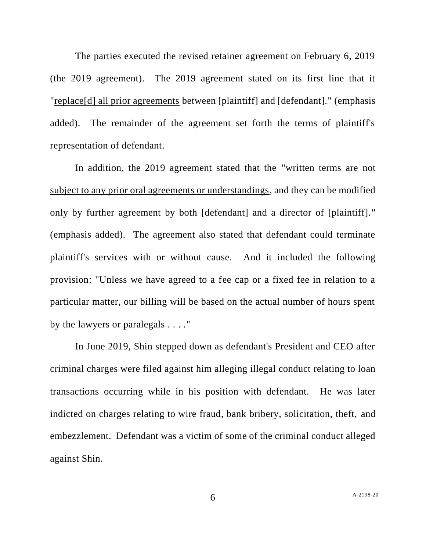The parties executed the revised retainer agreement on February 6, 2019 (the 2019 agreement). The 2019 agreement stated on its first line that it "replace[d] all prior agreements between [plaintiff] and [defendant]." (emphasis added). The remainder of the agreement set forth the terms of plaintiff's representation of defendant.

In addition, the 2019 agreement stated that the "written terms are not subject to any prior oral agreements or understandings, and they can be modified only by further agreement by both [defendant] and a director of [plaintiff]." (emphasis added). The agreement also stated that defendant could terminate plaintiff's services with or without cause. And it included the following provision: "Unless we have agreed to a fee cap or a fixed fee in relation to a particular matter, our billing will be based on the actual number of hours spent by the lawyers or paralegals . . . ."

In June 2019, Shin stepped down as defendant's President and CEO after criminal charges were filed against him alleging illegal conduct relating to loan transactions occurring while in his position with defendant. He was later indicted on charges relating to wire fraud, bank bribery, solicitation, theft, and embezzlement. Defendant was a victim of some of the criminal conduct alleged against Shin.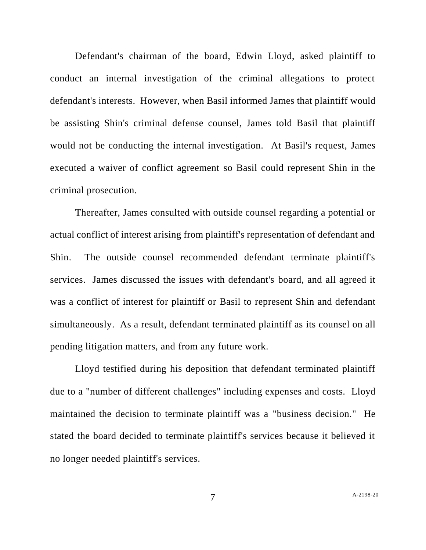Defendant's chairman of the board, Edwin Lloyd, asked plaintiff to conduct an internal investigation of the criminal allegations to protect defendant's interests. However, when Basil informed James that plaintiff would be assisting Shin's criminal defense counsel, James told Basil that plaintiff would not be conducting the internal investigation. At Basil's request, James executed a waiver of conflict agreement so Basil could represent Shin in the criminal prosecution.

Thereafter, James consulted with outside counsel regarding a potential or actual conflict of interest arising from plaintiff's representation of defendant and Shin. The outside counsel recommended defendant terminate plaintiff's services. James discussed the issues with defendant's board, and all agreed it was a conflict of interest for plaintiff or Basil to represent Shin and defendant simultaneously. As a result, defendant terminated plaintiff as its counsel on all pending litigation matters, and from any future work.

Lloyd testified during his deposition that defendant terminated plaintiff due to a "number of different challenges" including expenses and costs. Lloyd maintained the decision to terminate plaintiff was a "business decision." He stated the board decided to terminate plaintiff's services because it believed it no longer needed plaintiff's services.

7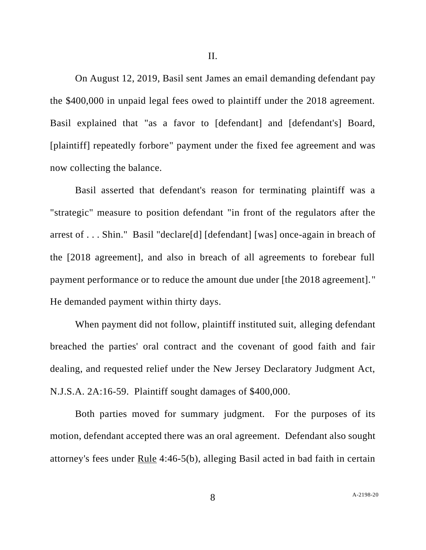On August 12, 2019, Basil sent James an email demanding defendant pay the \$400,000 in unpaid legal fees owed to plaintiff under the 2018 agreement. Basil explained that "as a favor to [defendant] and [defendant's] Board, [plaintiff] repeatedly forbore" payment under the fixed fee agreement and was now collecting the balance.

Basil asserted that defendant's reason for terminating plaintiff was a "strategic" measure to position defendant "in front of the regulators after the arrest of . . . Shin." Basil "declare[d] [defendant] [was] once-again in breach of the [2018 agreement], and also in breach of all agreements to forebear full payment performance or to reduce the amount due under [the 2018 agreement]." He demanded payment within thirty days.

When payment did not follow, plaintiff instituted suit, alleging defendant breached the parties' oral contract and the covenant of good faith and fair dealing, and requested relief under the New Jersey Declaratory Judgment Act, N.J.S.A. 2A:16-59. Plaintiff sought damages of \$400,000.

Both parties moved for summary judgment. For the purposes of its motion, defendant accepted there was an oral agreement. Defendant also sought attorney's fees under Rule 4:46-5(b), alleging Basil acted in bad faith in certain

8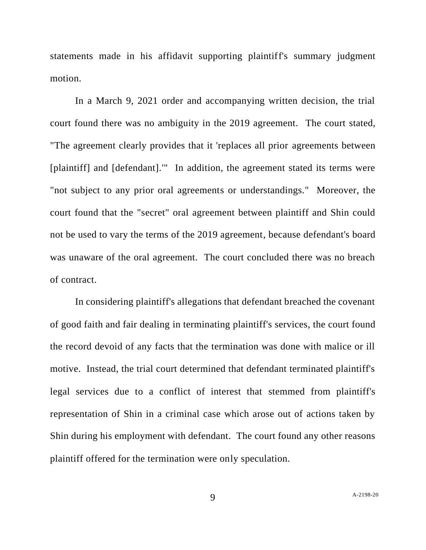statements made in his affidavit supporting plaintiff's summary judgment motion.

In a March 9, 2021 order and accompanying written decision, the trial court found there was no ambiguity in the 2019 agreement. The court stated, "The agreement clearly provides that it 'replaces all prior agreements between [plaintiff] and [defendant].'" In addition, the agreement stated its terms were "not subject to any prior oral agreements or understandings." Moreover, the court found that the "secret" oral agreement between plaintiff and Shin could not be used to vary the terms of the 2019 agreement, because defendant's board was unaware of the oral agreement. The court concluded there was no breach of contract.

In considering plaintiff's allegations that defendant breached the covenant of good faith and fair dealing in terminating plaintiff's services, the court found the record devoid of any facts that the termination was done with malice or ill motive. Instead, the trial court determined that defendant terminated plaintiff's legal services due to a conflict of interest that stemmed from plaintiff's representation of Shin in a criminal case which arose out of actions taken by Shin during his employment with defendant. The court found any other reasons plaintiff offered for the termination were only speculation.

9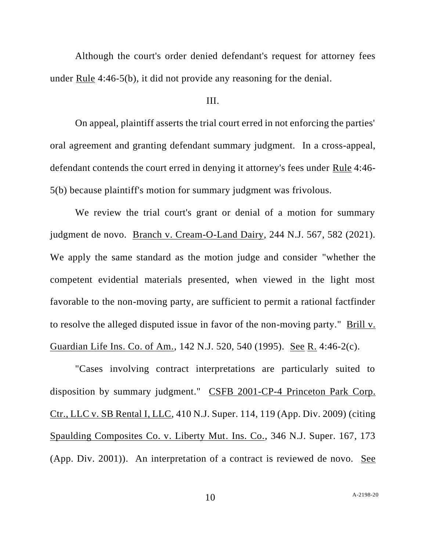Although the court's order denied defendant's request for attorney fees under Rule 4:46-5(b), it did not provide any reasoning for the denial.

## III.

On appeal, plaintiff asserts the trial court erred in not enforcing the parties' oral agreement and granting defendant summary judgment. In a cross-appeal, defendant contends the court erred in denying it attorney's fees under Rule 4:46- 5(b) because plaintiff's motion for summary judgment was frivolous.

We review the trial court's grant or denial of a motion for summary judgment de novo. Branch v. Cream-O-Land Dairy, 244 N.J. 567, 582 (2021). We apply the same standard as the motion judge and consider "whether the competent evidential materials presented, when viewed in the light most favorable to the non-moving party, are sufficient to permit a rational factfinder to resolve the alleged disputed issue in favor of the non-moving party." Brill v. Guardian Life Ins. Co. of Am., 142 N.J. 520, 540 (1995). See R. 4:46-2(c).

"Cases involving contract interpretations are particularly suited to disposition by summary judgment." CSFB 2001-CP-4 Princeton Park Corp. Ctr., LLC v. SB Rental I, LLC, 410 N.J. Super. 114, 119 (App. Div. 2009) (citing Spaulding Composites Co. v. Liberty Mut. Ins. Co., 346 N.J. Super. 167, 173 (App. Div. 2001)). An interpretation of a contract is reviewed de novo. See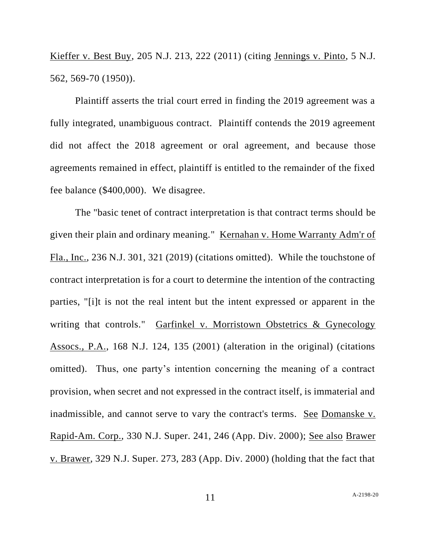Kieffer v. Best Buy, 205 N.J. 213, 222 (2011) (citing Jennings v. Pinto, 5 N.J. 562, 569-70 (1950)).

Plaintiff asserts the trial court erred in finding the 2019 agreement was a fully integrated, unambiguous contract. Plaintiff contends the 2019 agreement did not affect the 2018 agreement or oral agreement, and because those agreements remained in effect, plaintiff is entitled to the remainder of the fixed fee balance (\$400,000). We disagree.

The "basic tenet of contract interpretation is that contract terms should be given their plain and ordinary meaning." Kernahan v. Home Warranty Adm'r of Fla., Inc., 236 N.J. 301, 321 (2019) (citations omitted). While the touchstone of contract interpretation is for a court to determine the intention of the contracting parties, "[i]t is not the real intent but the intent expressed or apparent in the writing that controls." Garfinkel v. Morristown Obstetrics & Gynecology Assocs., P.A., 168 N.J. 124, 135 (2001) (alteration in the original) (citations omitted). Thus, one party's intention concerning the meaning of a contract provision, when secret and not expressed in the contract itself, is immaterial and inadmissible, and cannot serve to vary the contract's terms. See Domanske v. Rapid-Am. Corp., 330 N.J. Super. 241, 246 (App. Div. 2000); See also Brawer v. Brawer, 329 N.J. Super. 273, 283 (App. Div. 2000) (holding that the fact that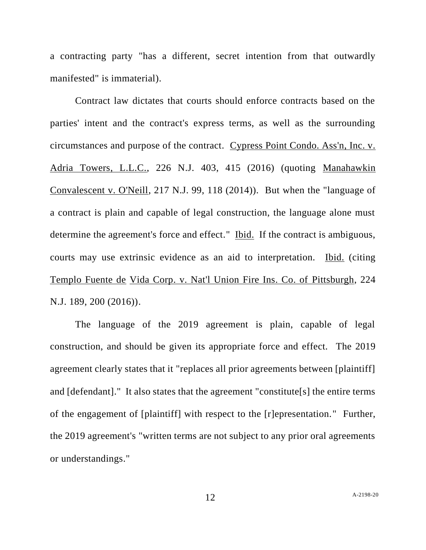a contracting party "has a different, secret intention from that outwardly manifested" is immaterial).

Contract law dictates that courts should enforce contracts based on the parties' intent and the contract's express terms, as well as the surrounding circumstances and purpose of the contract. Cypress Point Condo. Ass'n, Inc. v. Adria Towers, L.L.C., 226 N.J. 403, 415 (2016) (quoting Manahawkin Convalescent v. O'Neill, 217 N.J. 99, 118 (2014)). But when the "language of a contract is plain and capable of legal construction, the language alone must determine the agreement's force and effect." Ibid. If the contract is ambiguous, courts may use extrinsic evidence as an aid to interpretation. Ibid. (citing Templo Fuente de Vida Corp. v. Nat'l Union Fire Ins. Co. of Pittsburgh, 224 N.J. 189, 200 (2016)).

The language of the 2019 agreement is plain, capable of legal construction, and should be given its appropriate force and effect. The 2019 agreement clearly states that it "replaces all prior agreements between [plaintiff] and [defendant]." It also states that the agreement "constitute[s] the entire terms of the engagement of [plaintiff] with respect to the [r]epresentation." Further, the 2019 agreement's "written terms are not subject to any prior oral agreements or understandings."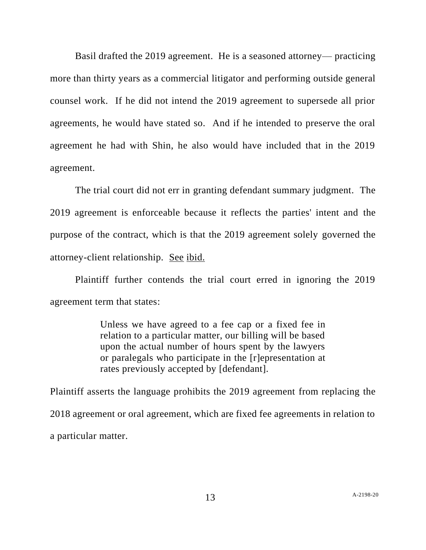Basil drafted the 2019 agreement. He is a seasoned attorney— practicing more than thirty years as a commercial litigator and performing outside general counsel work. If he did not intend the 2019 agreement to supersede all prior agreements, he would have stated so. And if he intended to preserve the oral agreement he had with Shin, he also would have included that in the 2019 agreement.

The trial court did not err in granting defendant summary judgment. The 2019 agreement is enforceable because it reflects the parties' intent and the purpose of the contract, which is that the 2019 agreement solely governed the attorney-client relationship. See ibid.

Plaintiff further contends the trial court erred in ignoring the 2019 agreement term that states:

> Unless we have agreed to a fee cap or a fixed fee in relation to a particular matter, our billing will be based upon the actual number of hours spent by the lawyers or paralegals who participate in the [r]epresentation at rates previously accepted by [defendant].

Plaintiff asserts the language prohibits the 2019 agreement from replacing the 2018 agreement or oral agreement, which are fixed fee agreements in relation to a particular matter.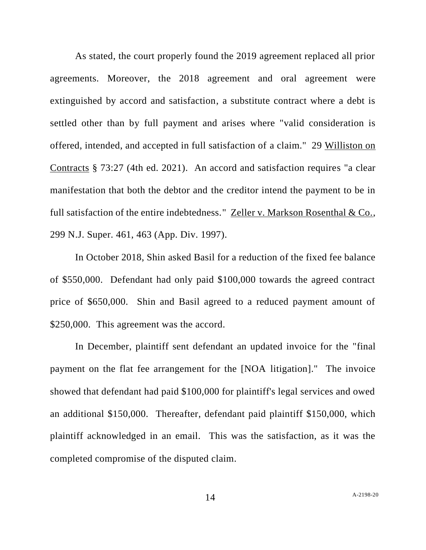As stated, the court properly found the 2019 agreement replaced all prior agreements. Moreover, the 2018 agreement and oral agreement were extinguished by accord and satisfaction, a substitute contract where a debt is settled other than by full payment and arises where "valid consideration is offered, intended, and accepted in full satisfaction of a claim." 29 Williston on Contracts § 73:27 (4th ed. 2021). An accord and satisfaction requires "a clear manifestation that both the debtor and the creditor intend the payment to be in full satisfaction of the entire indebtedness." Zeller v. Markson Rosenthal & Co., 299 N.J. Super. 461, 463 (App. Div. 1997).

In October 2018, Shin asked Basil for a reduction of the fixed fee balance of \$550,000. Defendant had only paid \$100,000 towards the agreed contract price of \$650,000. Shin and Basil agreed to a reduced payment amount of \$250,000. This agreement was the accord.

In December, plaintiff sent defendant an updated invoice for the "final payment on the flat fee arrangement for the [NOA litigation]." The invoice showed that defendant had paid \$100,000 for plaintiff's legal services and owed an additional \$150,000. Thereafter, defendant paid plaintiff \$150,000, which plaintiff acknowledged in an email. This was the satisfaction, as it was the completed compromise of the disputed claim.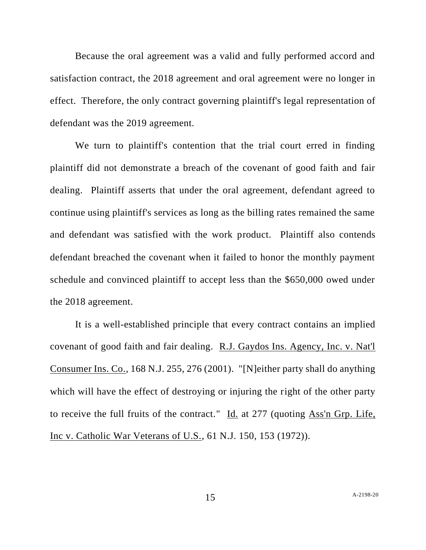Because the oral agreement was a valid and fully performed accord and satisfaction contract, the 2018 agreement and oral agreement were no longer in effect. Therefore, the only contract governing plaintiff's legal representation of defendant was the 2019 agreement.

We turn to plaintiff's contention that the trial court erred in finding plaintiff did not demonstrate a breach of the covenant of good faith and fair dealing. Plaintiff asserts that under the oral agreement, defendant agreed to continue using plaintiff's services as long as the billing rates remained the same and defendant was satisfied with the work product. Plaintiff also contends defendant breached the covenant when it failed to honor the monthly payment schedule and convinced plaintiff to accept less than the \$650,000 owed under the 2018 agreement.

It is a well-established principle that every contract contains an implied covenant of good faith and fair dealing. R.J. Gaydos Ins. Agency, Inc. v. Nat'l Consumer Ins. Co., 168 N.J. 255, 276 (2001). "[N]either party shall do anything which will have the effect of destroying or injuring the right of the other party to receive the full fruits of the contract." Id. at 277 (quoting Ass'n Grp. Life, Inc v. Catholic War Veterans of U.S., 61 N.J. 150, 153 (1972)).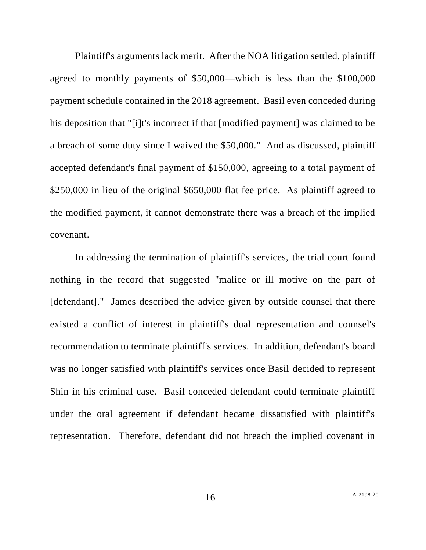Plaintiff's arguments lack merit. After the NOA litigation settled, plaintiff agreed to monthly payments of \$50,000—which is less than the \$100,000 payment schedule contained in the 2018 agreement. Basil even conceded during his deposition that "[i]t's incorrect if that [modified payment] was claimed to be a breach of some duty since I waived the \$50,000." And as discussed, plaintiff accepted defendant's final payment of \$150,000, agreeing to a total payment of \$250,000 in lieu of the original \$650,000 flat fee price. As plaintiff agreed to the modified payment, it cannot demonstrate there was a breach of the implied covenant.

In addressing the termination of plaintiff's services, the trial court found nothing in the record that suggested "malice or ill motive on the part of [defendant]." James described the advice given by outside counsel that there existed a conflict of interest in plaintiff's dual representation and counsel's recommendation to terminate plaintiff's services. In addition, defendant's board was no longer satisfied with plaintiff's services once Basil decided to represent Shin in his criminal case. Basil conceded defendant could terminate plaintiff under the oral agreement if defendant became dissatisfied with plaintiff's representation. Therefore, defendant did not breach the implied covenant in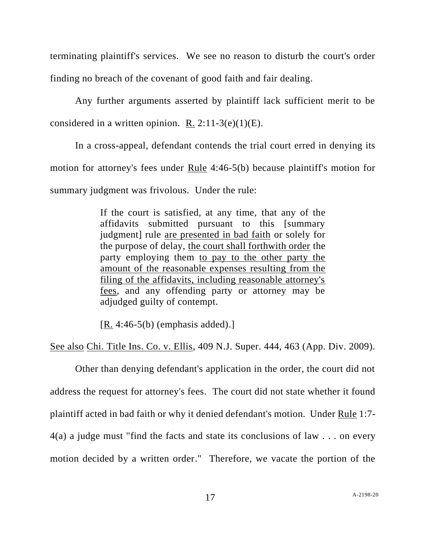terminating plaintiff's services. We see no reason to disturb the court's order finding no breach of the covenant of good faith and fair dealing.

Any further arguments asserted by plaintiff lack sufficient merit to be considered in a written opinion. R.  $2:11-3(e)(1)(E)$ .

In a cross-appeal, defendant contends the trial court erred in denying its motion for attorney's fees under Rule 4:46-5(b) because plaintiff's motion for summary judgment was frivolous. Under the rule:

> If the court is satisfied, at any time, that any of the affidavits submitted pursuant to this [summary judgment] rule are presented in bad faith or solely for the purpose of delay, the court shall forthwith order the party employing them to pay to the other party the amount of the reasonable expenses resulting from the filing of the affidavits, including reasonable attorney's fees, and any offending party or attorney may be adjudged guilty of contempt.

 $[R. 4:46-5(b)$  (emphasis added).

See also Chi. Title Ins. Co. v. Ellis, 409 N.J. Super. 444, 463 (App. Div. 2009).

Other than denying defendant's application in the order, the court did not address the request for attorney's fees. The court did not state whether it found plaintiff acted in bad faith or why it denied defendant's motion. Under Rule 1:7- 4(a) a judge must "find the facts and state its conclusions of law . . . on every motion decided by a written order." Therefore, we vacate the portion of the